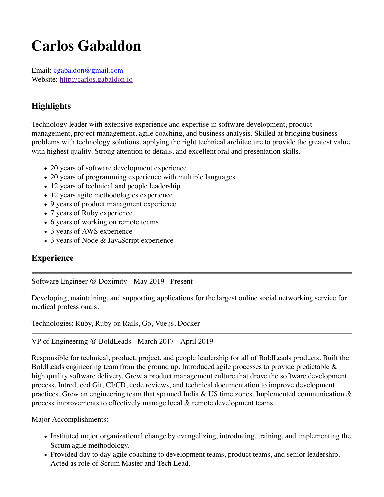# **Carlos Gabaldon**

Email: cgabaldon@gmail.com Website: http://carlos.gabaldon.io

## **Highlights**

Technology leader with extensive experience and expertise in software development, product management, project management, agile coaching, and business analysis. Skilled at bridging business problems with technology solutions, applying the right technical architecture to provide the greatest value with highest quality. Strong attention to details, and excellent oral and presentation skills.

- 20 years of software development experience
- 20 years of programming experience with multiple languages
- 12 years of technical and people leadership
- 12 years agile methodologies experience
- 9 years of product managment experience
- 7 years of Ruby experience
- 6 years of working on remote teams
- 3 years of AWS experience
- 3 years of Node & JavaScript experience

### **Experience**

Software Engineer @ Doximity - May 2019 - Present

Developing, maintaining, and supporting applications for the largest online social networking service for medical professionals.

Technologies: Ruby, Ruby on Rails, Go, Vue.js, Docker

#### VP of Engineering @ BoldLeads - March 2017 - April 2019

Responsible for technical, product, project, and people leadership for all of BoldLeads products. Built the BoldLeads engineering team from the ground up. Introduced agile processes to provide predictable & high quality software delivery. Grew a product management culture that drove the software development process. Introduced Git, CI/CD, code reviews, and technical documentation to improve development practices. Grew an engineering team that spanned India & US time zones. Implemented communication  $\&$ process improvements to effectively manage local & remote development teams.

Major Accomplishments:

- Instituted major organizational change by evangelizing, introducing, training, and implementing the Scrum agile methodology.
- Provided day to day agile coaching to development teams, product teams, and senior leadership. Acted as role of Scrum Master and Tech Lead.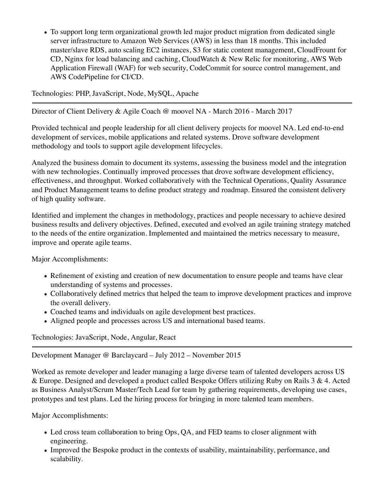• To support long term organizational growth led major product migration from dedicated single server infrastructure to Amazon Web Services (AWS) in less than 18 months. This included master/slave RDS, auto scaling EC2 instances, S3 for static content management, CloudFrount for CD, Nginx for load balancing and caching, CloudWatch & New Relic for monitoring, AWS Web Application Firewall (WAF) for web security, CodeCommit for source control management, and AWS CodePipeline for CI/CD.

Technologies: PHP, JavaScript, Node, MySQL, Apache

Director of Client Delivery & Agile Coach @ moovel NA - March 2016 - March 2017

Provided technical and people leadership for all client delivery projects for moovel NA. Led end-to-end development of services, mobile applications and related systems. Drove software development methodology and tools to support agile development lifecycles.

Analyzed the business domain to document its systems, assessing the business model and the integration with new technologies. Continually improved processes that drove software development efficiency, effectiveness, and throughput. Worked collaboratively with the Technical Operations, Quality Assurance and Product Management teams to define product strategy and roadmap. Ensured the consistent delivery of high quality software.

Identified and implement the changes in methodology, practices and people necessary to achieve desired business results and delivery objectives. Defined, executed and evolved an agile training strategy matched to the needs of the entire organization. Implemented and maintained the metrics necessary to measure, improve and operate agile teams.

Major Accomplishments:

- Refinement of existing and creation of new documentation to ensure people and teams have clear understanding of systems and processes.
- Collaboratively defined metrics that helped the team to improve development practices and improve the overall delivery.
- Coached teams and individuals on agile development best practices.
- Aligned people and processes across US and international based teams.

Technologies: JavaScript, Node, Angular, React

Development Manager @ Barclaycard – July 2012 – November 2015

Worked as remote developer and leader managing a large diverse team of talented developers across US & Europe. Designed and developed a product called Bespoke Offers utilizing Ruby on Rails 3 & 4. Acted as Business Analyst/Scrum Master/Tech Lead for team by gathering requirements, developing use cases, prototypes and test plans. Led the hiring process for bringing in more talented team members.

Major Accomplishments:

- Led cross team collaboration to bring Ops, QA, and FED teams to closer alignment with engineering.
- Improved the Bespoke product in the contexts of usability, maintainability, performance, and scalability.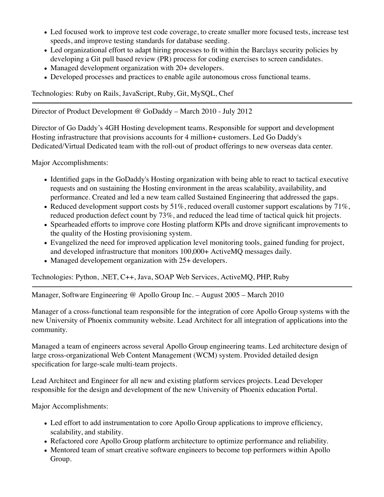- Led focused work to improve test code coverage, to create smaller more focused tests, increase test speeds, and improve testing standards for database seeding.
- Led organizational effort to adapt hiring processes to fit within the Barclays security policies by developing a Git pull based review (PR) process for coding exercises to screen candidates.
- Managed development organization with 20+ developers.
- Developed processes and practices to enable agile autonomous cross functional teams.

Technologies: Ruby on Rails, JavaScript, Ruby, Git, MySQL, Chef

Director of Product Development @ GoDaddy – March 2010 - July 2012

Director of Go Daddy's 4GH Hosting development teams. Responsible for support and development Hosting infrastructure that provisions accounts for 4 million+ customers. Led Go Daddy's Dedicated/Virtual Dedicated team with the roll-out of product offerings to new overseas data center.

Major Accomplishments:

- Identified gaps in the GoDaddy's Hosting organization with being able to react to tactical executive requests and on sustaining the Hosting environment in the areas scalability, availability, and performance. Created and led a new team called Sustained Engineering that addressed the gaps.
- Reduced development support costs by  $51\%$ , reduced overall customer support escalations by  $71\%$ , reduced production defect count by 73%, and reduced the lead time of tactical quick hit projects.
- Spearheaded efforts to improve core Hosting platform KPIs and drove significant improvements to the quality of the Hosting provisioning system.
- Evangelized the need for improved application level monitoring tools, gained funding for project, and developed infrastructure that monitors 100,000+ ActiveMQ messages daily.
- Managed developement organization with 25+ developers.

Technologies: Python, .NET, C++, Java, SOAP Web Services, ActiveMQ, PHP, Ruby

Manager, Software Engineering @ Apollo Group Inc. – August 2005 – March 2010

Manager of a cross-functional team responsible for the integration of core Apollo Group systems with the new University of Phoenix community website. Lead Architect for all integration of applications into the community.

Managed a team of engineers across several Apollo Group engineering teams. Led architecture design of large cross-organizational Web Content Management (WCM) system. Provided detailed design specification for large-scale multi-team projects.

Lead Architect and Engineer for all new and existing platform services projects. Lead Developer responsible for the design and development of the new University of Phoenix education Portal.

Major Accomplishments:

- Led effort to add instrumentation to core Apollo Group applications to improve efficiency, scalability, and stability.
- Refactored core Apollo Group platform architecture to optimize performance and reliability.
- Mentored team of smart creative software engineers to become top performers within Apollo Group.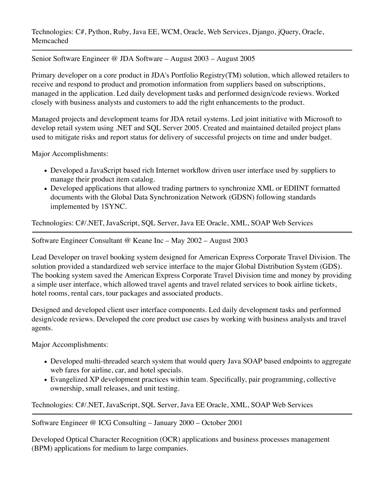Technologies: C#, Python, Ruby, Java EE, WCM, Oracle, Web Services, Django, jQuery, Oracle, Memcached

Senior Software Engineer @ JDA Software – August 2003 – August 2005

Primary developer on a core product in JDA's Portfolio Registry(TM) solution, which allowed retailers to receive and respond to product and promotion information from suppliers based on subscriptions, managed in the application. Led daily development tasks and performed design/code reviews. Worked closely with business analysts and customers to add the right enhancements to the product.

Managed projects and development teams for JDA retail systems. Led joint initiative with Microsoft to develop retail system using .NET and SQL Server 2005. Created and maintained detailed project plans used to mitigate risks and report status for delivery of successful projects on time and under budget.

Major Accomplishments:

- Developed a JavaScript based rich Internet workflow driven user interface used by suppliers to manage their product item catalog.
- Developed applications that allowed trading partners to synchronize XML or EDIINT formatted documents with the Global Data Synchronization Network (GDSN) following standards implemented by 1SYNC.

Technologies: C#/.NET, JavaScript, SQL Server, Java EE Oracle, XML, SOAP Web Services

Software Engineer Consultant @ Keane Inc – May 2002 – August 2003

Lead Developer on travel booking system designed for American Express Corporate Travel Division. The solution provided a standardized web service interface to the major Global Distribution System (GDS). The booking system saved the American Express Corporate Travel Division time and money by providing a simple user interface, which allowed travel agents and travel related services to book airline tickets, hotel rooms, rental cars, tour packages and associated products.

Designed and developed client user interface components. Led daily development tasks and performed design/code reviews. Developed the core product use cases by working with business analysts and travel agents.

Major Accomplishments:

- Developed multi-threaded search system that would query Java SOAP based endpoints to aggregate web fares for airline, car, and hotel specials.
- Evangelized XP development practices within team. Specifically, pair programming, collective ownership, small releases, and unit testing.

Technologies: C#/.NET, JavaScript, SQL Server, Java EE Oracle, XML, SOAP Web Services

Software Engineer @ ICG Consulting – January 2000 – October 2001

Developed Optical Character Recognition (OCR) applications and business processes management (BPM) applications for medium to large companies.